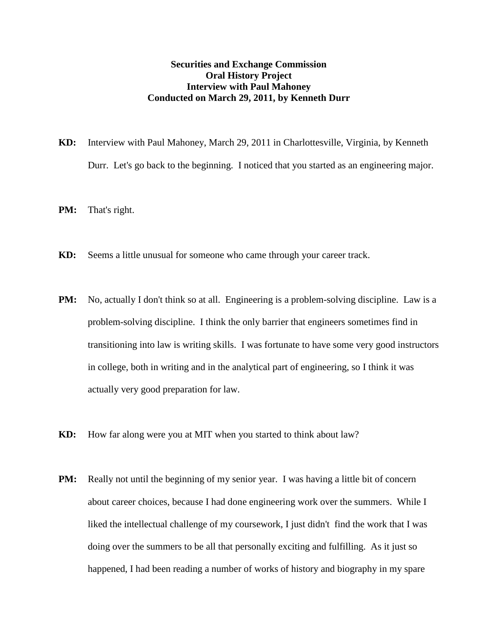## **Securities and Exchange Commission Oral History Project Interview with Paul Mahoney Conducted on March 29, 2011, by Kenneth Durr**

- **KD:** Interview with Paul Mahoney, March 29, 2011 in Charlottesville, Virginia, by Kenneth Durr. Let's go back to the beginning. I noticed that you started as an engineering major.
- **PM:** That's right.
- **KD:** Seems a little unusual for someone who came through your career track.
- **PM:** No, actually I don't think so at all. Engineering is a problem-solving discipline. Law is a problem-solving discipline. I think the only barrier that engineers sometimes find in transitioning into law is writing skills. I was fortunate to have some very good instructors in college, both in writing and in the analytical part of engineering, so I think it was actually very good preparation for law.
- **KD:** How far along were you at MIT when you started to think about law?
- **PM:** Really not until the beginning of my senior year. I was having a little bit of concern about career choices, because I had done engineering work over the summers. While I liked the intellectual challenge of my coursework, I just didn't find the work that I was doing over the summers to be all that personally exciting and fulfilling. As it just so happened, I had been reading a number of works of history and biography in my spare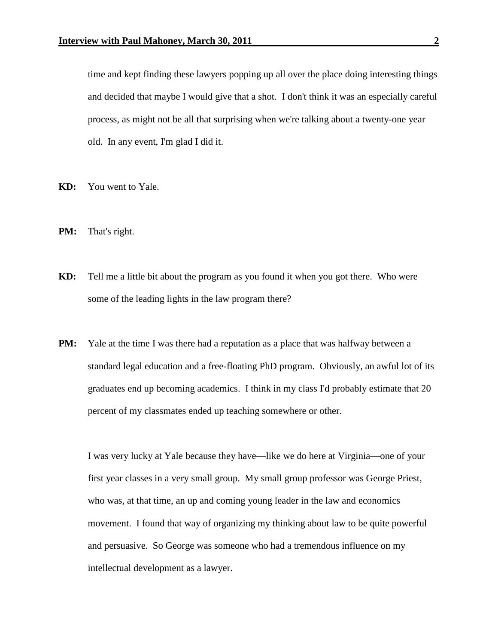time and kept finding these lawyers popping up all over the place doing interesting things and decided that maybe I would give that a shot. I don't think it was an especially careful process, as might not be all that surprising when we're talking about a twenty-one year old. In any event, I'm glad I did it.

- **KD:** You went to Yale.
- **PM:** That's right.
- **KD:** Tell me a little bit about the program as you found it when you got there. Who were some of the leading lights in the law program there?
- **PM:** Yale at the time I was there had a reputation as a place that was halfway between a standard legal education and a free-floating PhD program. Obviously, an awful lot of its graduates end up becoming academics. I think in my class I'd probably estimate that 20 percent of my classmates ended up teaching somewhere or other.

I was very lucky at Yale because they have—like we do here at Virginia—one of your first year classes in a very small group. My small group professor was George Priest, who was, at that time, an up and coming young leader in the law and economics movement. I found that way of organizing my thinking about law to be quite powerful and persuasive. So George was someone who had a tremendous influence on my intellectual development as a lawyer.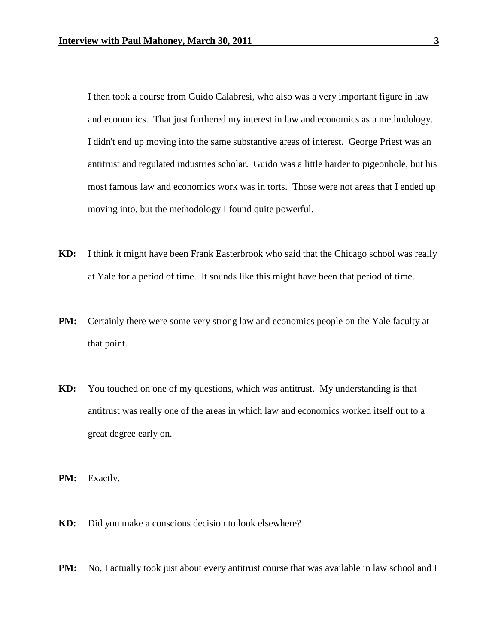I then took a course from Guido Calabresi, who also was a very important figure in law and economics. That just furthered my interest in law and economics as a methodology. I didn't end up moving into the same substantive areas of interest. George Priest was an antitrust and regulated industries scholar. Guido was a little harder to pigeonhole, but his most famous law and economics work was in torts. Those were not areas that I ended up moving into, but the methodology I found quite powerful.

- **KD:** I think it might have been Frank Easterbrook who said that the Chicago school was really at Yale for a period of time. It sounds like this might have been that period of time.
- **PM:** Certainly there were some very strong law and economics people on the Yale faculty at that point.
- **KD:** You touched on one of my questions, which was antitrust. My understanding is that antitrust was really one of the areas in which law and economics worked itself out to a great degree early on.

**PM:** Exactly.

- **KD:** Did you make a conscious decision to look elsewhere?
- **PM:** No, I actually took just about every antitrust course that was available in law school and I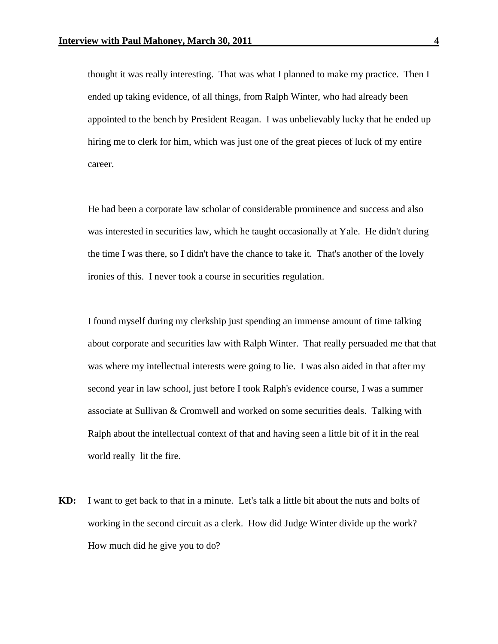thought it was really interesting. That was what I planned to make my practice. Then I ended up taking evidence, of all things, from Ralph Winter, who had already been appointed to the bench by President Reagan. I was unbelievably lucky that he ended up hiring me to clerk for him, which was just one of the great pieces of luck of my entire career.

He had been a corporate law scholar of considerable prominence and success and also was interested in securities law, which he taught occasionally at Yale. He didn't during the time I was there, so I didn't have the chance to take it. That's another of the lovely ironies of this. I never took a course in securities regulation.

I found myself during my clerkship just spending an immense amount of time talking about corporate and securities law with Ralph Winter. That really persuaded me that that was where my intellectual interests were going to lie. I was also aided in that after my second year in law school, just before I took Ralph's evidence course, I was a summer associate at Sullivan & Cromwell and worked on some securities deals. Talking with Ralph about the intellectual context of that and having seen a little bit of it in the real world really lit the fire.

**KD:** I want to get back to that in a minute. Let's talk a little bit about the nuts and bolts of working in the second circuit as a clerk. How did Judge Winter divide up the work? How much did he give you to do?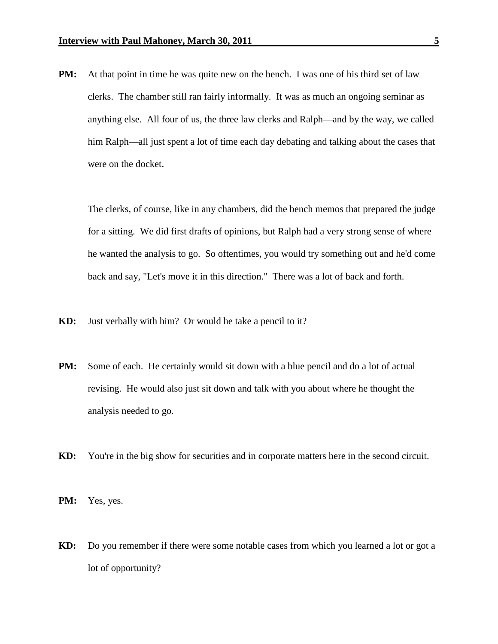**PM:** At that point in time he was quite new on the bench. I was one of his third set of law clerks. The chamber still ran fairly informally. It was as much an ongoing seminar as anything else. All four of us, the three law clerks and Ralph—and by the way, we called him Ralph—all just spent a lot of time each day debating and talking about the cases that were on the docket.

The clerks, of course, like in any chambers, did the bench memos that prepared the judge for a sitting. We did first drafts of opinions, but Ralph had a very strong sense of where he wanted the analysis to go. So oftentimes, you would try something out and he'd come back and say, "Let's move it in this direction." There was a lot of back and forth.

- **KD:** Just verbally with him? Or would he take a pencil to it?
- **PM:** Some of each. He certainly would sit down with a blue pencil and do a lot of actual revising. He would also just sit down and talk with you about where he thought the analysis needed to go.
- **KD:** You're in the big show for securities and in corporate matters here in the second circuit.
- **PM:** Yes, yes.
- **KD:** Do you remember if there were some notable cases from which you learned a lot or got a lot of opportunity?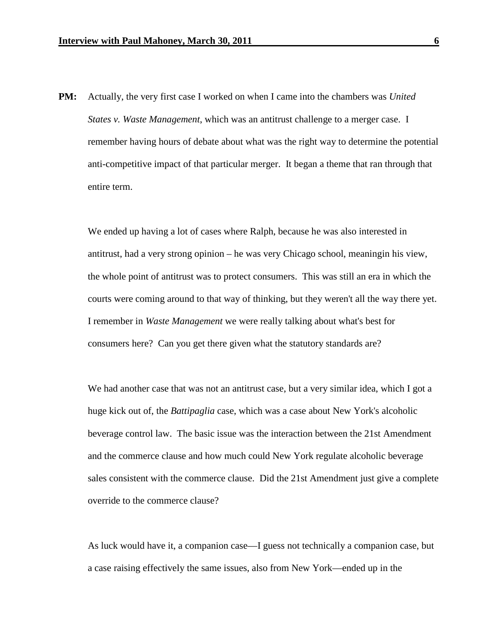**PM:** Actually, the very first case I worked on when I came into the chambers was *United States v. Waste Management*, which was an antitrust challenge to a merger case. I remember having hours of debate about what was the right way to determine the potential anti-competitive impact of that particular merger. It began a theme that ran through that entire term.

We ended up having a lot of cases where Ralph, because he was also interested in antitrust, had a very strong opinion – he was very Chicago school, meaningin his view, the whole point of antitrust was to protect consumers. This was still an era in which the courts were coming around to that way of thinking, but they weren't all the way there yet. I remember in *Waste Management* we were really talking about what's best for consumers here? Can you get there given what the statutory standards are?

We had another case that was not an antitrust case, but a very similar idea, which I got a huge kick out of, the *Battipaglia* case, which was a case about New York's alcoholic beverage control law. The basic issue was the interaction between the 21st Amendment and the commerce clause and how much could New York regulate alcoholic beverage sales consistent with the commerce clause. Did the 21st Amendment just give a complete override to the commerce clause?

As luck would have it, a companion case—I guess not technically a companion case, but a case raising effectively the same issues, also from New York—ended up in the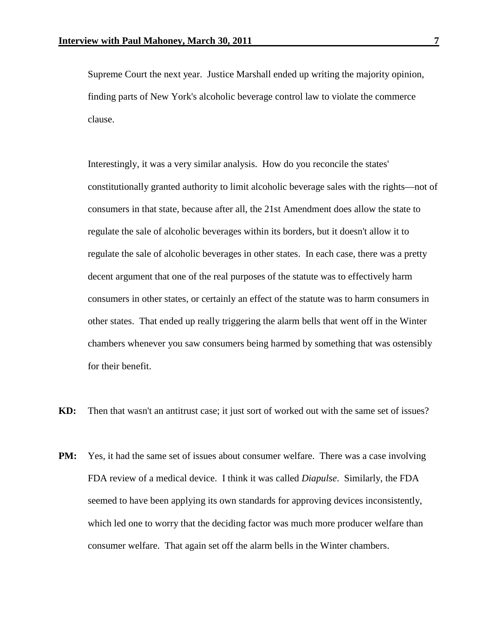Supreme Court the next year. Justice Marshall ended up writing the majority opinion, finding parts of New York's alcoholic beverage control law to violate the commerce clause.

Interestingly, it was a very similar analysis. How do you reconcile the states' constitutionally granted authority to limit alcoholic beverage sales with the rights—not of consumers in that state, because after all, the 21st Amendment does allow the state to regulate the sale of alcoholic beverages within its borders, but it doesn't allow it to regulate the sale of alcoholic beverages in other states. In each case, there was a pretty decent argument that one of the real purposes of the statute was to effectively harm consumers in other states, or certainly an effect of the statute was to harm consumers in other states. That ended up really triggering the alarm bells that went off in the Winter chambers whenever you saw consumers being harmed by something that was ostensibly for their benefit.

- **KD:** Then that wasn't an antitrust case; it just sort of worked out with the same set of issues?
- **PM:** Yes, it had the same set of issues about consumer welfare. There was a case involving FDA review of a medical device. I think it was called *Diapulse*. Similarly, the FDA seemed to have been applying its own standards for approving devices inconsistently, which led one to worry that the deciding factor was much more producer welfare than consumer welfare. That again set off the alarm bells in the Winter chambers.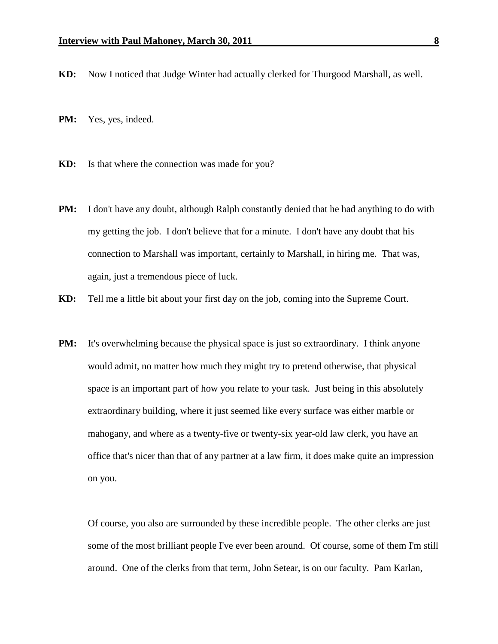**KD:** Now I noticed that Judge Winter had actually clerked for Thurgood Marshall, as well.

- **PM:** Yes, yes, indeed.
- **KD:** Is that where the connection was made for you?
- **PM:** I don't have any doubt, although Ralph constantly denied that he had anything to do with my getting the job. I don't believe that for a minute. I don't have any doubt that his connection to Marshall was important, certainly to Marshall, in hiring me. That was, again, just a tremendous piece of luck.
- **KD:** Tell me a little bit about your first day on the job, coming into the Supreme Court.
- **PM:** It's overwhelming because the physical space is just so extraordinary. I think anyone would admit, no matter how much they might try to pretend otherwise, that physical space is an important part of how you relate to your task. Just being in this absolutely extraordinary building, where it just seemed like every surface was either marble or mahogany, and where as a twenty-five or twenty-six year-old law clerk, you have an office that's nicer than that of any partner at a law firm, it does make quite an impression on you.

Of course, you also are surrounded by these incredible people. The other clerks are just some of the most brilliant people I've ever been around. Of course, some of them I'm still around. One of the clerks from that term, John Setear, is on our faculty. Pam Karlan,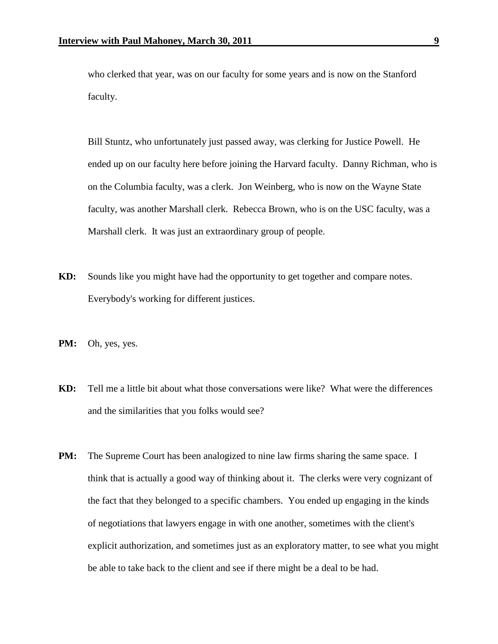who clerked that year, was on our faculty for some years and is now on the Stanford faculty.

Bill Stuntz, who unfortunately just passed away, was clerking for Justice Powell. He ended up on our faculty here before joining the Harvard faculty. Danny Richman, who is on the Columbia faculty, was a clerk. Jon Weinberg, who is now on the Wayne State faculty, was another Marshall clerk. Rebecca Brown, who is on the USC faculty, was a Marshall clerk. It was just an extraordinary group of people.

- **KD:** Sounds like you might have had the opportunity to get together and compare notes. Everybody's working for different justices.
- **PM:** Oh, yes, yes.
- **KD:** Tell me a little bit about what those conversations were like? What were the differences and the similarities that you folks would see?
- **PM:** The Supreme Court has been analogized to nine law firms sharing the same space. I think that is actually a good way of thinking about it. The clerks were very cognizant of the fact that they belonged to a specific chambers. You ended up engaging in the kinds of negotiations that lawyers engage in with one another, sometimes with the client's explicit authorization, and sometimes just as an exploratory matter, to see what you might be able to take back to the client and see if there might be a deal to be had.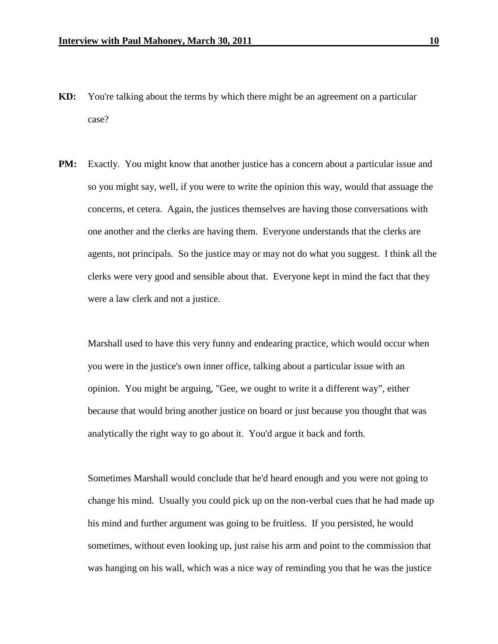- **KD:** You're talking about the terms by which there might be an agreement on a particular case?
- **PM:** Exactly. You might know that another justice has a concern about a particular issue and so you might say, well, if you were to write the opinion this way, would that assuage the concerns, et cetera. Again, the justices themselves are having those conversations with one another and the clerks are having them. Everyone understands that the clerks are agents, not principals. So the justice may or may not do what you suggest. I think all the clerks were very good and sensible about that. Everyone kept in mind the fact that they were a law clerk and not a justice.

Marshall used to have this very funny and endearing practice, which would occur when you were in the justice's own inner office, talking about a particular issue with an opinion. You might be arguing, "Gee, we ought to write it a different way", either because that would bring another justice on board or just because you thought that was analytically the right way to go about it. You'd argue it back and forth.

Sometimes Marshall would conclude that he'd heard enough and you were not going to change his mind. Usually you could pick up on the non-verbal cues that he had made up his mind and further argument was going to be fruitless. If you persisted, he would sometimes, without even looking up, just raise his arm and point to the commission that was hanging on his wall, which was a nice way of reminding you that he was the justice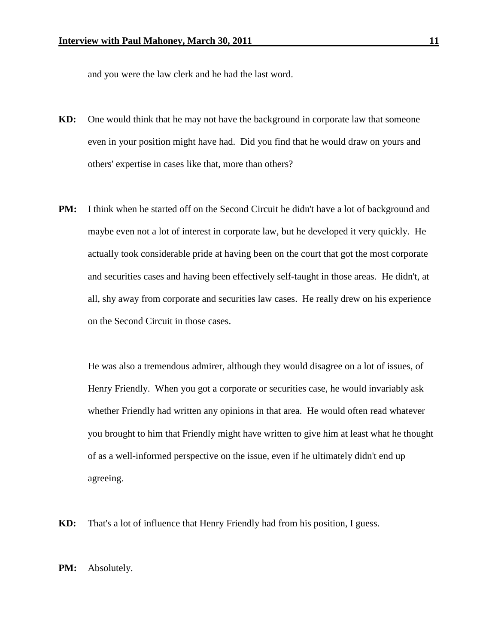and you were the law clerk and he had the last word.

- **KD:** One would think that he may not have the background in corporate law that someone even in your position might have had. Did you find that he would draw on yours and others' expertise in cases like that, more than others?
- **PM:** I think when he started off on the Second Circuit he didn't have a lot of background and maybe even not a lot of interest in corporate law, but he developed it very quickly. He actually took considerable pride at having been on the court that got the most corporate and securities cases and having been effectively self-taught in those areas. He didn't, at all, shy away from corporate and securities law cases. He really drew on his experience on the Second Circuit in those cases.

He was also a tremendous admirer, although they would disagree on a lot of issues, of Henry Friendly. When you got a corporate or securities case, he would invariably ask whether Friendly had written any opinions in that area. He would often read whatever you brought to him that Friendly might have written to give him at least what he thought of as a well-informed perspective on the issue, even if he ultimately didn't end up agreeing.

**KD:** That's a lot of influence that Henry Friendly had from his position, I guess.

**PM:** Absolutely.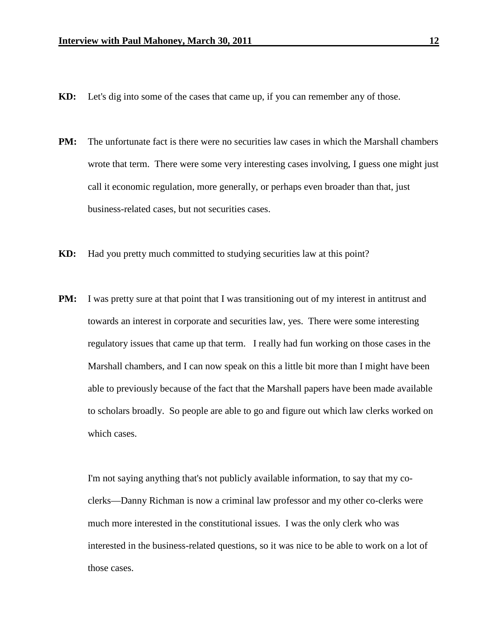- **KD:** Let's dig into some of the cases that came up, if you can remember any of those.
- **PM:** The unfortunate fact is there were no securities law cases in which the Marshall chambers wrote that term. There were some very interesting cases involving, I guess one might just call it economic regulation, more generally, or perhaps even broader than that, just business-related cases, but not securities cases.
- **KD:** Had you pretty much committed to studying securities law at this point?
- **PM:** I was pretty sure at that point that I was transitioning out of my interest in antitrust and towards an interest in corporate and securities law, yes. There were some interesting regulatory issues that came up that term. I really had fun working on those cases in the Marshall chambers, and I can now speak on this a little bit more than I might have been able to previously because of the fact that the Marshall papers have been made available to scholars broadly. So people are able to go and figure out which law clerks worked on which cases.

I'm not saying anything that's not publicly available information, to say that my coclerks—Danny Richman is now a criminal law professor and my other co-clerks were much more interested in the constitutional issues. I was the only clerk who was interested in the business-related questions, so it was nice to be able to work on a lot of those cases.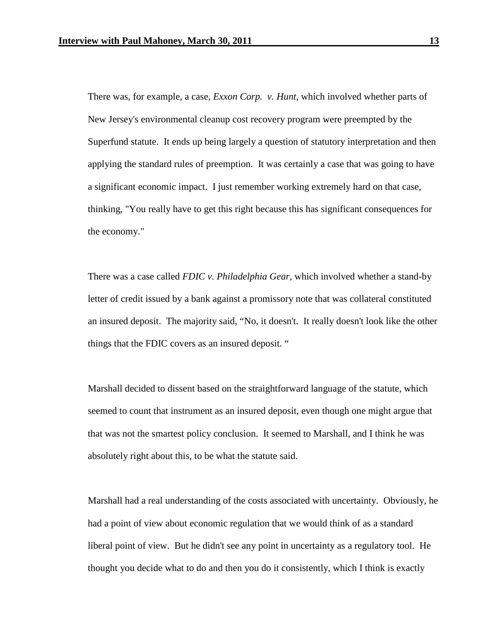There was, for example, a case, *Exxon Corp. v. Hunt*, which involved whether parts of New Jersey's environmental cleanup cost recovery program were preempted by the Superfund statute. It ends up being largely a question of statutory interpretation and then applying the standard rules of preemption. It was certainly a case that was going to have a significant economic impact. I just remember working extremely hard on that case, thinking, "You really have to get this right because this has significant consequences for the economy."

There was a case called *FDIC v. Philadelphia Gear*, which involved whether a stand-by letter of credit issued by a bank against a promissory note that was collateral constituted an insured deposit. The majority said, "No, it doesn't. It really doesn't look like the other things that the FDIC covers as an insured deposit. "

Marshall decided to dissent based on the straightforward language of the statute, which seemed to count that instrument as an insured deposit, even though one might argue that that was not the smartest policy conclusion. It seemed to Marshall, and I think he was absolutely right about this, to be what the statute said.

Marshall had a real understanding of the costs associated with uncertainty. Obviously, he had a point of view about economic regulation that we would think of as a standard liberal point of view. But he didn't see any point in uncertainty as a regulatory tool. He thought you decide what to do and then you do it consistently, which I think is exactly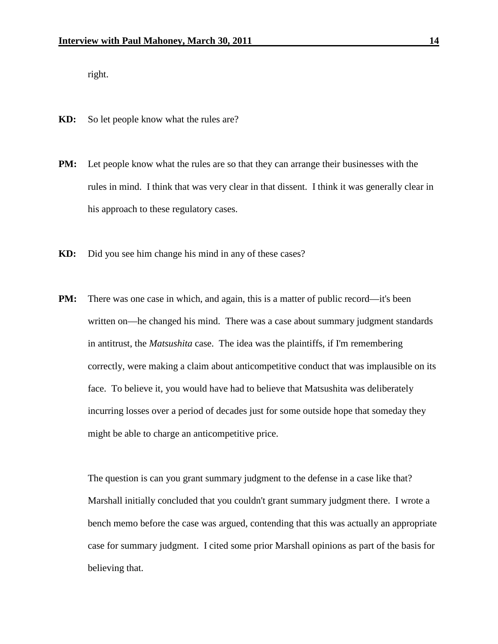right.

- **KD:** So let people know what the rules are?
- **PM:** Let people know what the rules are so that they can arrange their businesses with the rules in mind. I think that was very clear in that dissent. I think it was generally clear in his approach to these regulatory cases.
- **KD:** Did you see him change his mind in any of these cases?
- **PM:** There was one case in which, and again, this is a matter of public record—it's been written on—he changed his mind. There was a case about summary judgment standards in antitrust, the *Matsushita* case. The idea was the plaintiffs, if I'm remembering correctly, were making a claim about anticompetitive conduct that was implausible on its face. To believe it, you would have had to believe that Matsushita was deliberately incurring losses over a period of decades just for some outside hope that someday they might be able to charge an anticompetitive price.

The question is can you grant summary judgment to the defense in a case like that? Marshall initially concluded that you couldn't grant summary judgment there. I wrote a bench memo before the case was argued, contending that this was actually an appropriate case for summary judgment. I cited some prior Marshall opinions as part of the basis for believing that.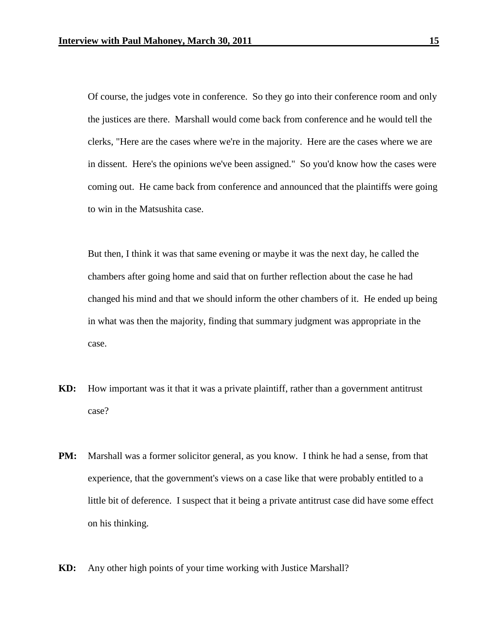Of course, the judges vote in conference. So they go into their conference room and only the justices are there. Marshall would come back from conference and he would tell the clerks, "Here are the cases where we're in the majority. Here are the cases where we are in dissent. Here's the opinions we've been assigned." So you'd know how the cases were coming out. He came back from conference and announced that the plaintiffs were going to win in the Matsushita case.

But then, I think it was that same evening or maybe it was the next day, he called the chambers after going home and said that on further reflection about the case he had changed his mind and that we should inform the other chambers of it. He ended up being in what was then the majority, finding that summary judgment was appropriate in the case.

- **KD:** How important was it that it was a private plaintiff, rather than a government antitrust case?
- **PM:** Marshall was a former solicitor general, as you know. I think he had a sense, from that experience, that the government's views on a case like that were probably entitled to a little bit of deference. I suspect that it being a private antitrust case did have some effect on his thinking.
- **KD:** Any other high points of your time working with Justice Marshall?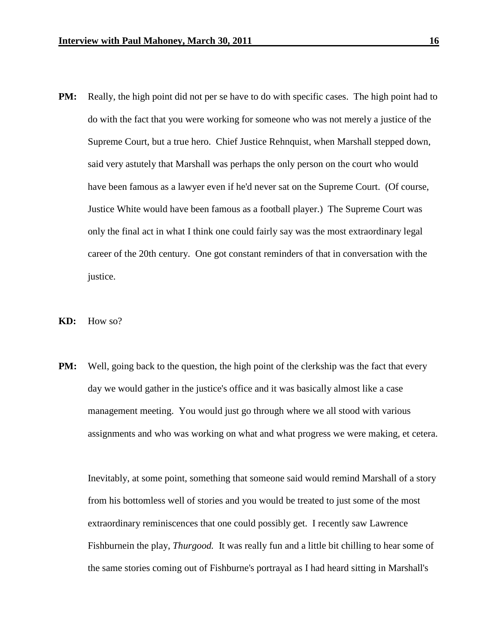- **PM:** Really, the high point did not per se have to do with specific cases. The high point had to do with the fact that you were working for someone who was not merely a justice of the Supreme Court, but a true hero. Chief Justice Rehnquist, when Marshall stepped down, said very astutely that Marshall was perhaps the only person on the court who would have been famous as a lawyer even if he'd never sat on the Supreme Court. (Of course, Justice White would have been famous as a football player.) The Supreme Court was only the final act in what I think one could fairly say was the most extraordinary legal career of the 20th century. One got constant reminders of that in conversation with the justice.
- **KD:** How so?
- **PM:** Well, going back to the question, the high point of the clerkship was the fact that every day we would gather in the justice's office and it was basically almost like a case management meeting. You would just go through where we all stood with various assignments and who was working on what and what progress we were making, et cetera.

Inevitably, at some point, something that someone said would remind Marshall of a story from his bottomless well of stories and you would be treated to just some of the most extraordinary reminiscences that one could possibly get. I recently saw Lawrence Fishburnein the play, *Thurgood.* It was really fun and a little bit chilling to hear some of the same stories coming out of Fishburne's portrayal as I had heard sitting in Marshall's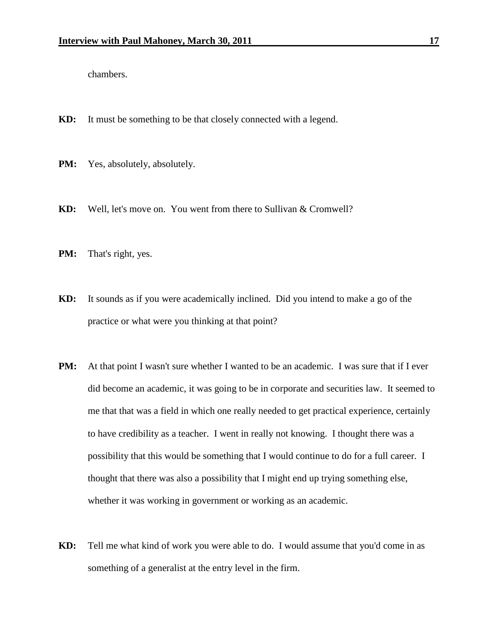chambers.

- **KD:** It must be something to be that closely connected with a legend.
- **PM:** Yes, absolutely, absolutely.
- **KD:** Well, let's move on. You went from there to Sullivan & Cromwell?
- **PM:** That's right, yes.
- **KD:** It sounds as if you were academically inclined. Did you intend to make a go of the practice or what were you thinking at that point?
- **PM:** At that point I wasn't sure whether I wanted to be an academic. I was sure that if I ever did become an academic, it was going to be in corporate and securities law. It seemed to me that that was a field in which one really needed to get practical experience, certainly to have credibility as a teacher. I went in really not knowing. I thought there was a possibility that this would be something that I would continue to do for a full career. I thought that there was also a possibility that I might end up trying something else, whether it was working in government or working as an academic.
- **KD:** Tell me what kind of work you were able to do. I would assume that you'd come in as something of a generalist at the entry level in the firm.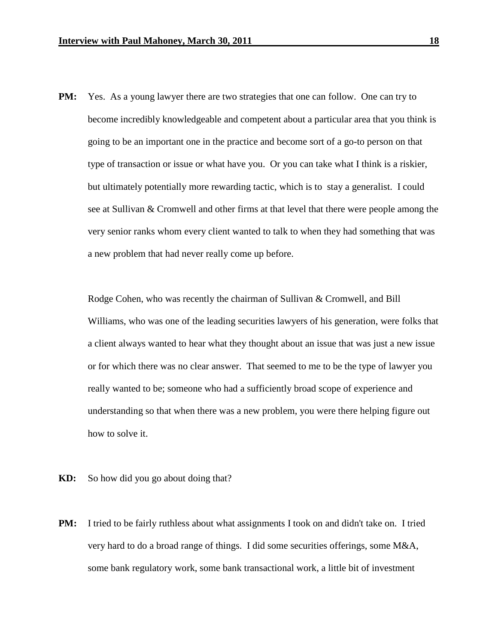**PM:** Yes. As a young lawyer there are two strategies that one can follow. One can try to become incredibly knowledgeable and competent about a particular area that you think is going to be an important one in the practice and become sort of a go-to person on that type of transaction or issue or what have you. Or you can take what I think is a riskier, but ultimately potentially more rewarding tactic, which is to stay a generalist. I could see at Sullivan & Cromwell and other firms at that level that there were people among the very senior ranks whom every client wanted to talk to when they had something that was a new problem that had never really come up before.

Rodge Cohen, who was recently the chairman of Sullivan & Cromwell, and Bill Williams, who was one of the leading securities lawyers of his generation, were folks that a client always wanted to hear what they thought about an issue that was just a new issue or for which there was no clear answer. That seemed to me to be the type of lawyer you really wanted to be; someone who had a sufficiently broad scope of experience and understanding so that when there was a new problem, you were there helping figure out how to solve it.

- **KD:** So how did you go about doing that?
- **PM:** I tried to be fairly ruthless about what assignments I took on and didn't take on. I tried very hard to do a broad range of things. I did some securities offerings, some M&A, some bank regulatory work, some bank transactional work, a little bit of investment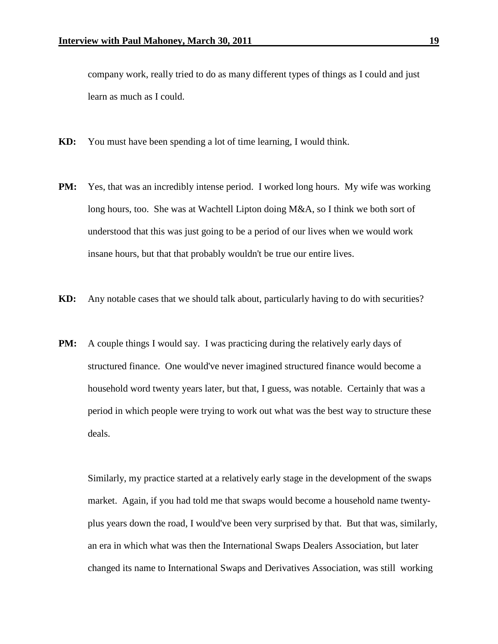company work, really tried to do as many different types of things as I could and just learn as much as I could.

- **KD:** You must have been spending a lot of time learning, I would think.
- **PM:** Yes, that was an incredibly intense period. I worked long hours. My wife was working long hours, too. She was at Wachtell Lipton doing M&A, so I think we both sort of understood that this was just going to be a period of our lives when we would work insane hours, but that that probably wouldn't be true our entire lives.
- **KD:** Any notable cases that we should talk about, particularly having to do with securities?
- **PM:** A couple things I would say. I was practicing during the relatively early days of structured finance. One would've never imagined structured finance would become a household word twenty years later, but that, I guess, was notable. Certainly that was a period in which people were trying to work out what was the best way to structure these deals.

Similarly, my practice started at a relatively early stage in the development of the swaps market. Again, if you had told me that swaps would become a household name twentyplus years down the road, I would've been very surprised by that. But that was, similarly, an era in which what was then the International Swaps Dealers Association, but later changed its name to International Swaps and Derivatives Association, was still working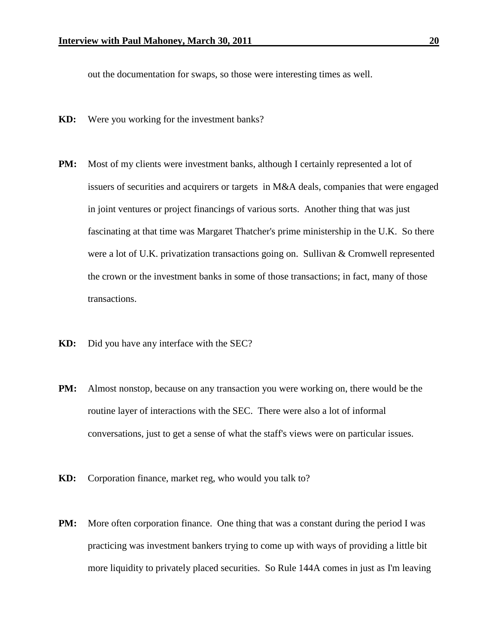out the documentation for swaps, so those were interesting times as well.

- **KD:** Were you working for the investment banks?
- **PM:** Most of my clients were investment banks, although I certainly represented a lot of issuers of securities and acquirers or targets in M&A deals, companies that were engaged in joint ventures or project financings of various sorts. Another thing that was just fascinating at that time was Margaret Thatcher's prime ministership in the U.K. So there were a lot of U.K. privatization transactions going on. Sullivan & Cromwell represented the crown or the investment banks in some of those transactions; in fact, many of those transactions.
- **KD:** Did you have any interface with the SEC?
- **PM:** Almost nonstop, because on any transaction you were working on, there would be the routine layer of interactions with the SEC. There were also a lot of informal conversations, just to get a sense of what the staff's views were on particular issues.
- **KD:** Corporation finance, market reg, who would you talk to?
- **PM:** More often corporation finance. One thing that was a constant during the period I was practicing was investment bankers trying to come up with ways of providing a little bit more liquidity to privately placed securities. So Rule 144A comes in just as I'm leaving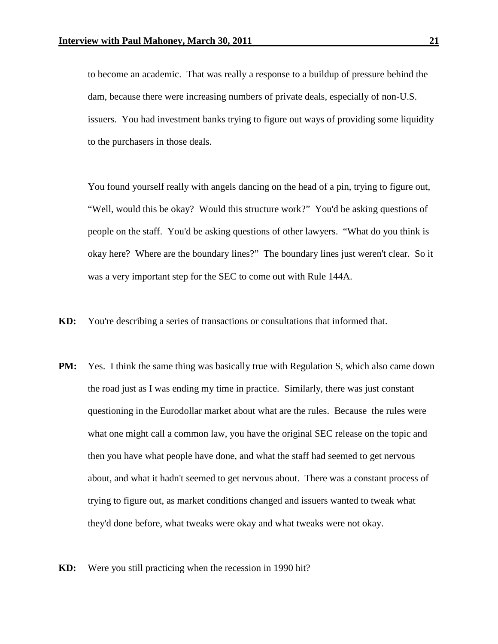to become an academic. That was really a response to a buildup of pressure behind the dam, because there were increasing numbers of private deals, especially of non-U.S. issuers. You had investment banks trying to figure out ways of providing some liquidity to the purchasers in those deals.

You found yourself really with angels dancing on the head of a pin, trying to figure out, "Well, would this be okay? Would this structure work?" You'd be asking questions of people on the staff. You'd be asking questions of other lawyers. "What do you think is okay here? Where are the boundary lines?" The boundary lines just weren't clear. So it was a very important step for the SEC to come out with Rule 144A.

- **KD:** You're describing a series of transactions or consultations that informed that.
- **PM:** Yes. I think the same thing was basically true with Regulation S, which also came down the road just as I was ending my time in practice. Similarly, there was just constant questioning in the Eurodollar market about what are the rules. Because the rules were what one might call a common law, you have the original SEC release on the topic and then you have what people have done, and what the staff had seemed to get nervous about, and what it hadn't seemed to get nervous about. There was a constant process of trying to figure out, as market conditions changed and issuers wanted to tweak what they'd done before, what tweaks were okay and what tweaks were not okay.
- **KD:** Were you still practicing when the recession in 1990 hit?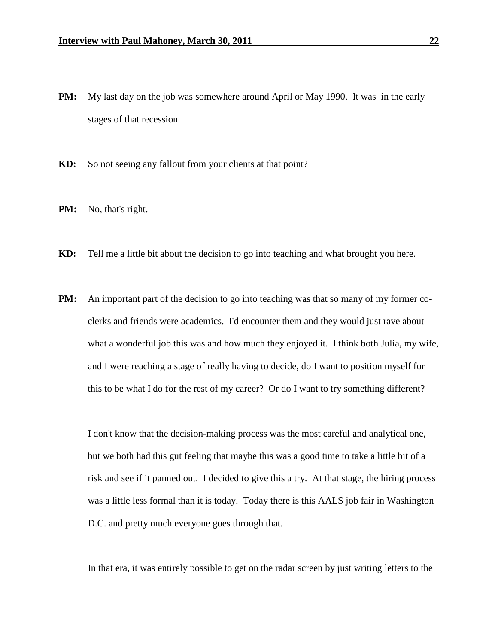- **PM:** My last day on the job was somewhere around April or May 1990. It was in the early stages of that recession.
- **KD:** So not seeing any fallout from your clients at that point?
- **PM:** No, that's right.
- **KD:** Tell me a little bit about the decision to go into teaching and what brought you here.
- **PM:** An important part of the decision to go into teaching was that so many of my former coclerks and friends were academics. I'd encounter them and they would just rave about what a wonderful job this was and how much they enjoyed it. I think both Julia, my wife, and I were reaching a stage of really having to decide, do I want to position myself for this to be what I do for the rest of my career? Or do I want to try something different?

I don't know that the decision-making process was the most careful and analytical one, but we both had this gut feeling that maybe this was a good time to take a little bit of a risk and see if it panned out. I decided to give this a try. At that stage, the hiring process was a little less formal than it is today. Today there is this AALS job fair in Washington D.C. and pretty much everyone goes through that.

In that era, it was entirely possible to get on the radar screen by just writing letters to the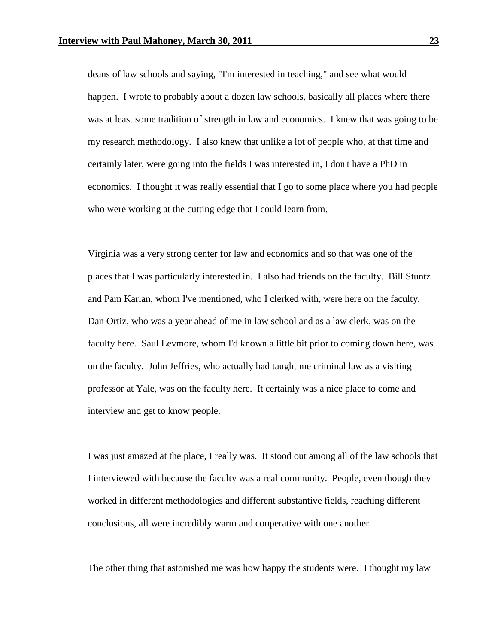deans of law schools and saying, "I'm interested in teaching," and see what would happen. I wrote to probably about a dozen law schools, basically all places where there was at least some tradition of strength in law and economics. I knew that was going to be my research methodology. I also knew that unlike a lot of people who, at that time and certainly later, were going into the fields I was interested in, I don't have a PhD in economics. I thought it was really essential that I go to some place where you had people who were working at the cutting edge that I could learn from.

Virginia was a very strong center for law and economics and so that was one of the places that I was particularly interested in. I also had friends on the faculty. Bill Stuntz and Pam Karlan, whom I've mentioned, who I clerked with, were here on the faculty. Dan Ortiz, who was a year ahead of me in law school and as a law clerk, was on the faculty here. Saul Levmore, whom I'd known a little bit prior to coming down here, was on the faculty. John Jeffries, who actually had taught me criminal law as a visiting professor at Yale, was on the faculty here. It certainly was a nice place to come and interview and get to know people.

I was just amazed at the place, I really was. It stood out among all of the law schools that I interviewed with because the faculty was a real community. People, even though they worked in different methodologies and different substantive fields, reaching different conclusions, all were incredibly warm and cooperative with one another.

The other thing that astonished me was how happy the students were. I thought my law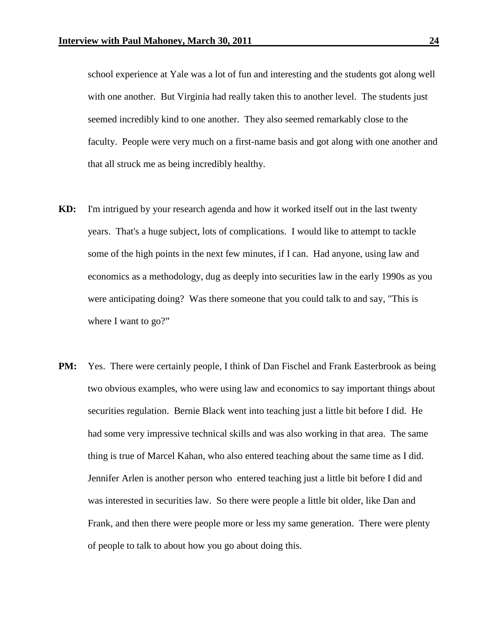school experience at Yale was a lot of fun and interesting and the students got along well with one another. But Virginia had really taken this to another level. The students just seemed incredibly kind to one another. They also seemed remarkably close to the faculty. People were very much on a first-name basis and got along with one another and that all struck me as being incredibly healthy.

- **KD:** I'm intrigued by your research agenda and how it worked itself out in the last twenty years. That's a huge subject, lots of complications. I would like to attempt to tackle some of the high points in the next few minutes, if I can. Had anyone, using law and economics as a methodology, dug as deeply into securities law in the early 1990s as you were anticipating doing? Was there someone that you could talk to and say, "This is where I want to go?"
- **PM:** Yes. There were certainly people, I think of Dan Fischel and Frank Easterbrook as being two obvious examples, who were using law and economics to say important things about securities regulation. Bernie Black went into teaching just a little bit before I did. He had some very impressive technical skills and was also working in that area. The same thing is true of Marcel Kahan, who also entered teaching about the same time as I did. Jennifer Arlen is another person who entered teaching just a little bit before I did and was interested in securities law. So there were people a little bit older, like Dan and Frank, and then there were people more or less my same generation. There were plenty of people to talk to about how you go about doing this.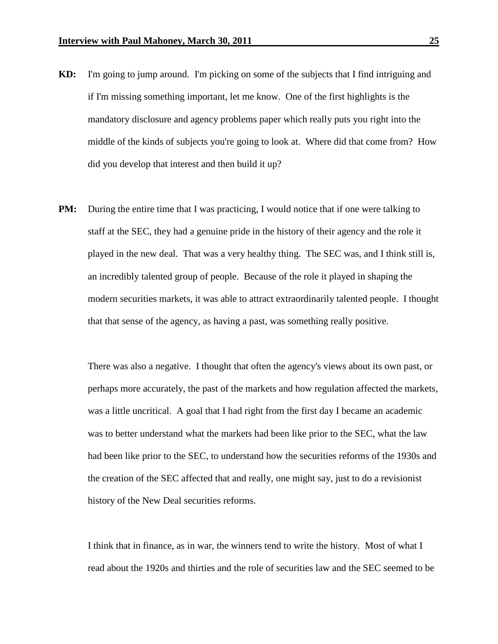- **KD:** I'm going to jump around. I'm picking on some of the subjects that I find intriguing and if I'm missing something important, let me know. One of the first highlights is the mandatory disclosure and agency problems paper which really puts you right into the middle of the kinds of subjects you're going to look at. Where did that come from? How did you develop that interest and then build it up?
- **PM:** During the entire time that I was practicing, I would notice that if one were talking to staff at the SEC, they had a genuine pride in the history of their agency and the role it played in the new deal. That was a very healthy thing. The SEC was, and I think still is, an incredibly talented group of people. Because of the role it played in shaping the modern securities markets, it was able to attract extraordinarily talented people. I thought that that sense of the agency, as having a past, was something really positive.

There was also a negative. I thought that often the agency's views about its own past, or perhaps more accurately, the past of the markets and how regulation affected the markets, was a little uncritical. A goal that I had right from the first day I became an academic was to better understand what the markets had been like prior to the SEC, what the law had been like prior to the SEC, to understand how the securities reforms of the 1930s and the creation of the SEC affected that and really, one might say, just to do a revisionist history of the New Deal securities reforms.

I think that in finance, as in war, the winners tend to write the history. Most of what I read about the 1920s and thirties and the role of securities law and the SEC seemed to be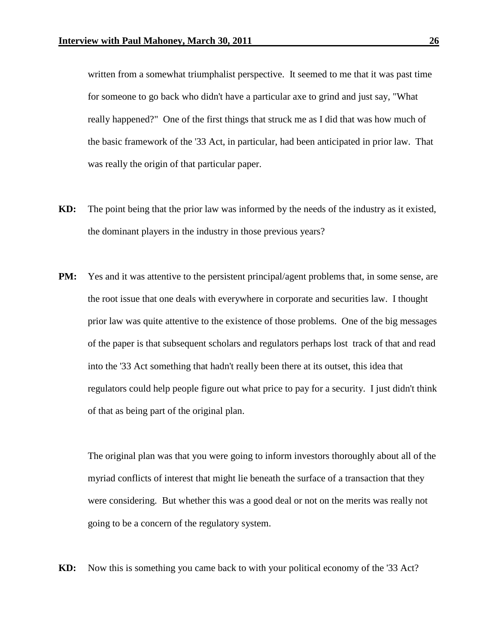written from a somewhat triumphalist perspective. It seemed to me that it was past time for someone to go back who didn't have a particular axe to grind and just say, "What really happened?" One of the first things that struck me as I did that was how much of the basic framework of the '33 Act, in particular, had been anticipated in prior law. That was really the origin of that particular paper.

- **KD:** The point being that the prior law was informed by the needs of the industry as it existed, the dominant players in the industry in those previous years?
- **PM:** Yes and it was attentive to the persistent principal/agent problems that, in some sense, are the root issue that one deals with everywhere in corporate and securities law. I thought prior law was quite attentive to the existence of those problems. One of the big messages of the paper is that subsequent scholars and regulators perhaps lost track of that and read into the '33 Act something that hadn't really been there at its outset, this idea that regulators could help people figure out what price to pay for a security. I just didn't think of that as being part of the original plan.

The original plan was that you were going to inform investors thoroughly about all of the myriad conflicts of interest that might lie beneath the surface of a transaction that they were considering. But whether this was a good deal or not on the merits was really not going to be a concern of the regulatory system.

**KD:** Now this is something you came back to with your political economy of the '33 Act?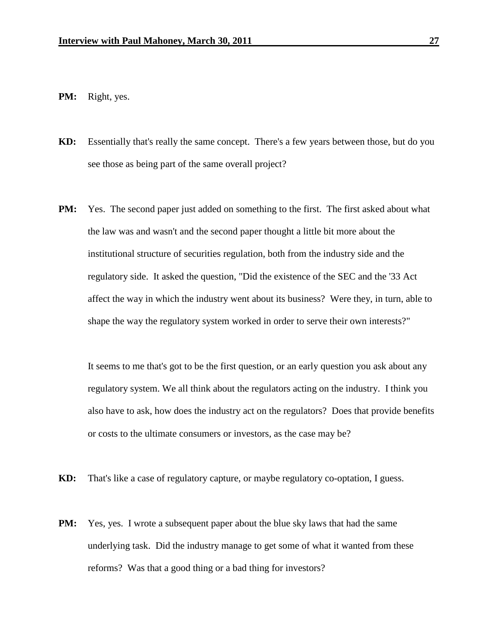- **PM:** Right, yes.
- **KD:** Essentially that's really the same concept. There's a few years between those, but do you see those as being part of the same overall project?
- **PM:** Yes. The second paper just added on something to the first. The first asked about what the law was and wasn't and the second paper thought a little bit more about the institutional structure of securities regulation, both from the industry side and the regulatory side. It asked the question, "Did the existence of the SEC and the '33 Act affect the way in which the industry went about its business? Were they, in turn, able to shape the way the regulatory system worked in order to serve their own interests?"

It seems to me that's got to be the first question, or an early question you ask about any regulatory system. We all think about the regulators acting on the industry. I think you also have to ask, how does the industry act on the regulators? Does that provide benefits or costs to the ultimate consumers or investors, as the case may be?

- **KD:** That's like a case of regulatory capture, or maybe regulatory co-optation, I guess.
- **PM:** Yes, yes. I wrote a subsequent paper about the blue sky laws that had the same underlying task. Did the industry manage to get some of what it wanted from these reforms? Was that a good thing or a bad thing for investors?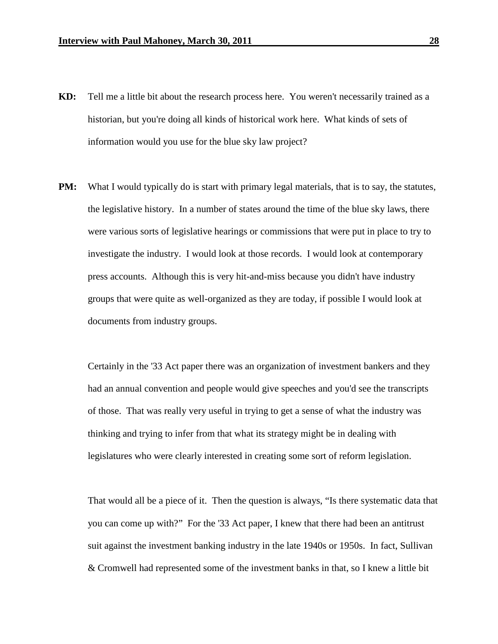- **KD:** Tell me a little bit about the research process here. You weren't necessarily trained as a historian, but you're doing all kinds of historical work here. What kinds of sets of information would you use for the blue sky law project?
- **PM:** What I would typically do is start with primary legal materials, that is to say, the statutes, the legislative history. In a number of states around the time of the blue sky laws, there were various sorts of legislative hearings or commissions that were put in place to try to investigate the industry. I would look at those records. I would look at contemporary press accounts. Although this is very hit-and-miss because you didn't have industry groups that were quite as well-organized as they are today, if possible I would look at documents from industry groups.

Certainly in the '33 Act paper there was an organization of investment bankers and they had an annual convention and people would give speeches and you'd see the transcripts of those. That was really very useful in trying to get a sense of what the industry was thinking and trying to infer from that what its strategy might be in dealing with legislatures who were clearly interested in creating some sort of reform legislation.

That would all be a piece of it. Then the question is always, "Is there systematic data that you can come up with?" For the '33 Act paper, I knew that there had been an antitrust suit against the investment banking industry in the late 1940s or 1950s. In fact, Sullivan & Cromwell had represented some of the investment banks in that, so I knew a little bit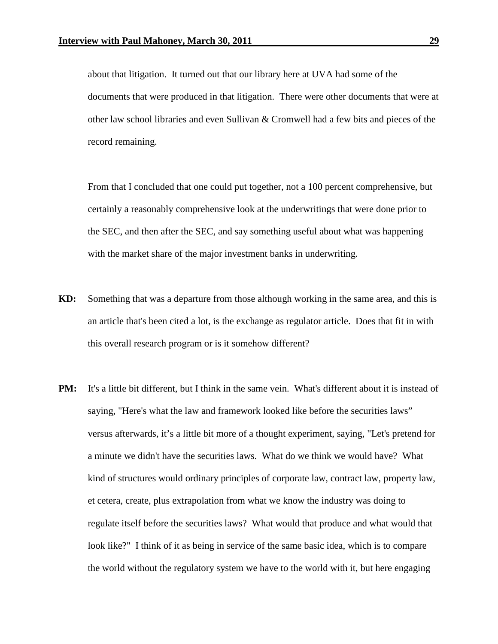about that litigation. It turned out that our library here at UVA had some of the documents that were produced in that litigation. There were other documents that were at other law school libraries and even Sullivan & Cromwell had a few bits and pieces of the record remaining.

From that I concluded that one could put together, not a 100 percent comprehensive, but certainly a reasonably comprehensive look at the underwritings that were done prior to the SEC, and then after the SEC, and say something useful about what was happening with the market share of the major investment banks in underwriting.

- **KD:** Something that was a departure from those although working in the same area, and this is an article that's been cited a lot, is the exchange as regulator article. Does that fit in with this overall research program or is it somehow different?
- **PM:** It's a little bit different, but I think in the same vein. What's different about it is instead of saying, "Here's what the law and framework looked like before the securities laws" versus afterwards, it's a little bit more of a thought experiment, saying, "Let's pretend for a minute we didn't have the securities laws. What do we think we would have? What kind of structures would ordinary principles of corporate law, contract law, property law, et cetera, create, plus extrapolation from what we know the industry was doing to regulate itself before the securities laws? What would that produce and what would that look like?" I think of it as being in service of the same basic idea, which is to compare the world without the regulatory system we have to the world with it, but here engaging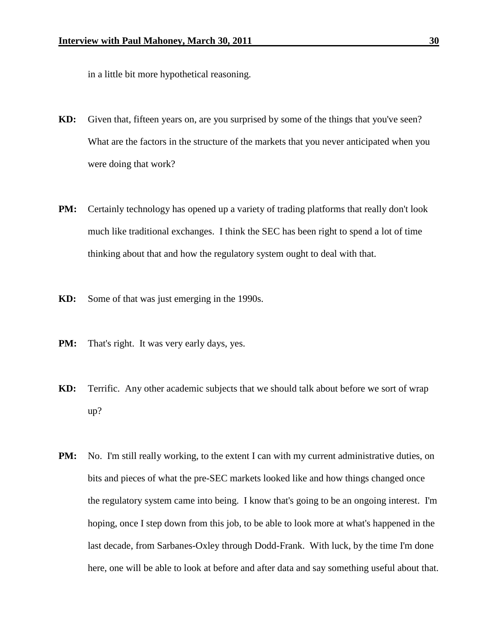in a little bit more hypothetical reasoning.

- **KD:** Given that, fifteen years on, are you surprised by some of the things that you've seen? What are the factors in the structure of the markets that you never anticipated when you were doing that work?
- **PM:** Certainly technology has opened up a variety of trading platforms that really don't look much like traditional exchanges. I think the SEC has been right to spend a lot of time thinking about that and how the regulatory system ought to deal with that.
- **KD:** Some of that was just emerging in the 1990s.
- **PM:** That's right. It was very early days, yes.
- **KD:** Terrific. Any other academic subjects that we should talk about before we sort of wrap up?
- **PM:** No. I'm still really working, to the extent I can with my current administrative duties, on bits and pieces of what the pre-SEC markets looked like and how things changed once the regulatory system came into being. I know that's going to be an ongoing interest. I'm hoping, once I step down from this job, to be able to look more at what's happened in the last decade, from Sarbanes-Oxley through Dodd-Frank. With luck, by the time I'm done here, one will be able to look at before and after data and say something useful about that.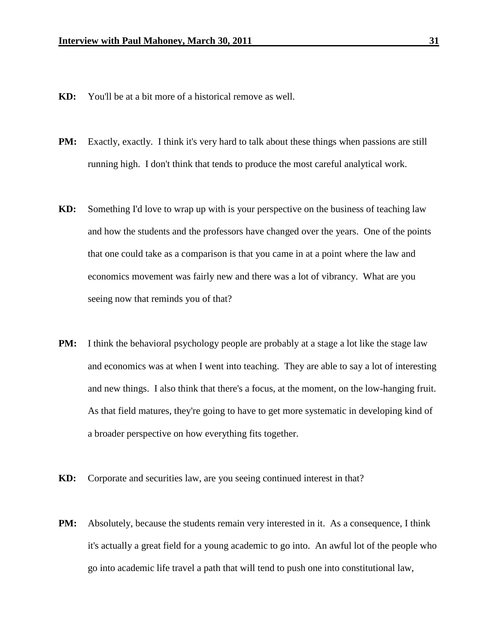- **KD:** You'll be at a bit more of a historical remove as well.
- **PM:** Exactly, exactly. I think it's very hard to talk about these things when passions are still running high. I don't think that tends to produce the most careful analytical work.
- **KD:** Something I'd love to wrap up with is your perspective on the business of teaching law and how the students and the professors have changed over the years. One of the points that one could take as a comparison is that you came in at a point where the law and economics movement was fairly new and there was a lot of vibrancy. What are you seeing now that reminds you of that?
- **PM:** I think the behavioral psychology people are probably at a stage a lot like the stage law and economics was at when I went into teaching. They are able to say a lot of interesting and new things. I also think that there's a focus, at the moment, on the low-hanging fruit. As that field matures, they're going to have to get more systematic in developing kind of a broader perspective on how everything fits together.
- **KD:** Corporate and securities law, are you seeing continued interest in that?
- **PM:** Absolutely, because the students remain very interested in it. As a consequence, I think it's actually a great field for a young academic to go into. An awful lot of the people who go into academic life travel a path that will tend to push one into constitutional law,